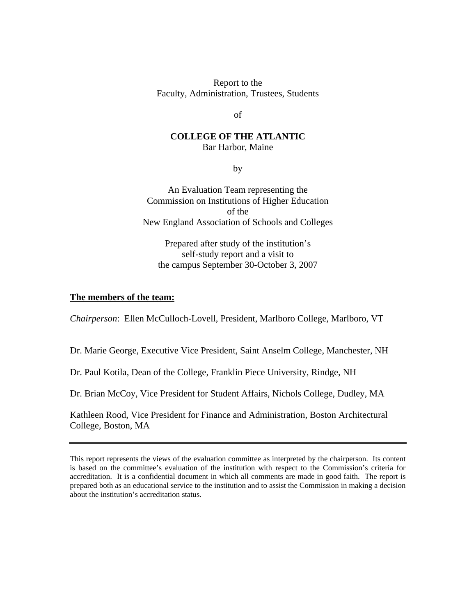Report to the Faculty, Administration, Trustees, Students

of

#### **COLLEGE OF THE ATLANTIC**  Bar Harbor, Maine

by

An Evaluation Team representing the Commission on Institutions of Higher Education of the New England Association of Schools and Colleges

Prepared after study of the institution's self-study report and a visit to the campus September 30-October 3, 2007

#### **The members of the team:**

*Chairperson*: Ellen McCulloch-Lovell, President, Marlboro College, Marlboro, VT

Dr. Marie George, Executive Vice President, Saint Anselm College, Manchester, NH

Dr. Paul Kotila, Dean of the College, Franklin Piece University, Rindge, NH

Dr. Brian McCoy, Vice President for Student Affairs, Nichols College, Dudley, MA

Kathleen Rood, Vice President for Finance and Administration, Boston Architectural College, Boston, MA

This report represents the views of the evaluation committee as interpreted by the chairperson. Its content is based on the committee's evaluation of the institution with respect to the Commission's criteria for accreditation. It is a confidential document in which all comments are made in good faith. The report is prepared both as an educational service to the institution and to assist the Commission in making a decision about the institution's accreditation status.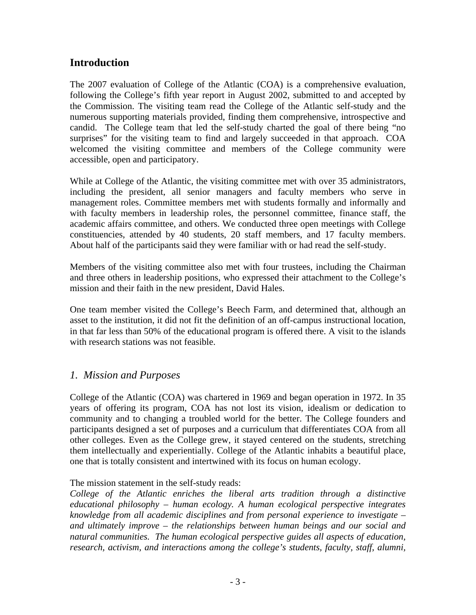# **Introduction**

The 2007 evaluation of College of the Atlantic (COA) is a comprehensive evaluation, following the College's fifth year report in August 2002, submitted to and accepted by the Commission. The visiting team read the College of the Atlantic self-study and the numerous supporting materials provided, finding them comprehensive, introspective and candid. The College team that led the self-study charted the goal of there being "no surprises" for the visiting team to find and largely succeeded in that approach. COA welcomed the visiting committee and members of the College community were accessible, open and participatory.

While at College of the Atlantic, the visiting committee met with over 35 administrators, including the president, all senior managers and faculty members who serve in management roles. Committee members met with students formally and informally and with faculty members in leadership roles, the personnel committee, finance staff, the academic affairs committee, and others. We conducted three open meetings with College constituencies, attended by 40 students, 20 staff members, and 17 faculty members. About half of the participants said they were familiar with or had read the self-study.

Members of the visiting committee also met with four trustees, including the Chairman and three others in leadership positions, who expressed their attachment to the College's mission and their faith in the new president, David Hales.

One team member visited the College's Beech Farm, and determined that, although an asset to the institution, it did not fit the definition of an off-campus instructional location, in that far less than 50% of the educational program is offered there. A visit to the islands with research stations was not feasible.

# *1. Mission and Purposes*

College of the Atlantic (COA) was chartered in 1969 and began operation in 1972. In 35 years of offering its program, COA has not lost its vision, idealism or dedication to community and to changing a troubled world for the better. The College founders and participants designed a set of purposes and a curriculum that differentiates COA from all other colleges. Even as the College grew, it stayed centered on the students, stretching them intellectually and experientially. College of the Atlantic inhabits a beautiful place, one that is totally consistent and intertwined with its focus on human ecology.

### The mission statement in the self-study reads:

*College of the Atlantic enriches the liberal arts tradition through a distinctive educational philosophy – human ecology. A human ecological perspective integrates knowledge from all academic disciplines and from personal experience to investigate – and ultimately improve – the relationships between human beings and our social and natural communities. The human ecological perspective guides all aspects of education, research, activism, and interactions among the college's students, faculty, staff, alumni,*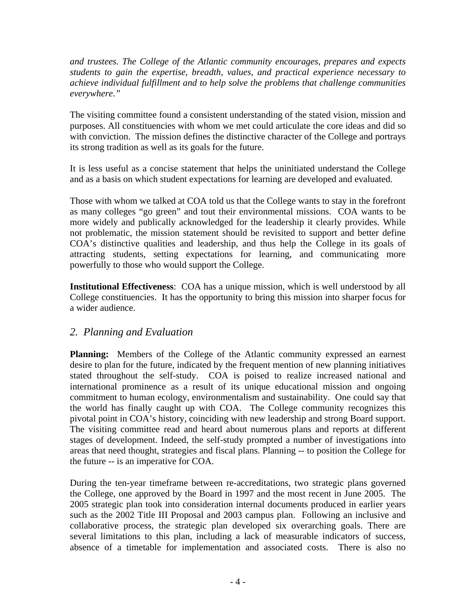*and trustees. The College of the Atlantic community encourages, prepares and expects students to gain the expertise, breadth, values, and practical experience necessary to achieve individual fulfillment and to help solve the problems that challenge communities everywhere."* 

The visiting committee found a consistent understanding of the stated vision, mission and purposes. All constituencies with whom we met could articulate the core ideas and did so with conviction. The mission defines the distinctive character of the College and portrays its strong tradition as well as its goals for the future.

It is less useful as a concise statement that helps the uninitiated understand the College and as a basis on which student expectations for learning are developed and evaluated.

Those with whom we talked at COA told us that the College wants to stay in the forefront as many colleges "go green" and tout their environmental missions. COA wants to be more widely and publically acknowledged for the leadership it clearly provides. While not problematic, the mission statement should be revisited to support and better define COA's distinctive qualities and leadership, and thus help the College in its goals of attracting students, setting expectations for learning, and communicating more powerfully to those who would support the College.

**Institutional Effectiveness**: COA has a unique mission, which is well understood by all College constituencies. It has the opportunity to bring this mission into sharper focus for a wider audience.

# *2. Planning and Evaluation*

**Planning:** Members of the College of the Atlantic community expressed an earnest desire to plan for the future, indicated by the frequent mention of new planning initiatives stated throughout the self-study. COA is poised to realize increased national and international prominence as a result of its unique educational mission and ongoing commitment to human ecology, environmentalism and sustainability. One could say that the world has finally caught up with COA. The College community recognizes this pivotal point in COA's history, coinciding with new leadership and strong Board support. The visiting committee read and heard about numerous plans and reports at different stages of development. Indeed, the self-study prompted a number of investigations into areas that need thought, strategies and fiscal plans. Planning -- to position the College for the future -- is an imperative for COA.

During the ten-year timeframe between re-accreditations, two strategic plans governed the College, one approved by the Board in 1997 and the most recent in June 2005. The 2005 strategic plan took into consideration internal documents produced in earlier years such as the 2002 Title III Proposal and 2003 campus plan. Following an inclusive and collaborative process, the strategic plan developed six overarching goals. There are several limitations to this plan, including a lack of measurable indicators of success, absence of a timetable for implementation and associated costs. There is also no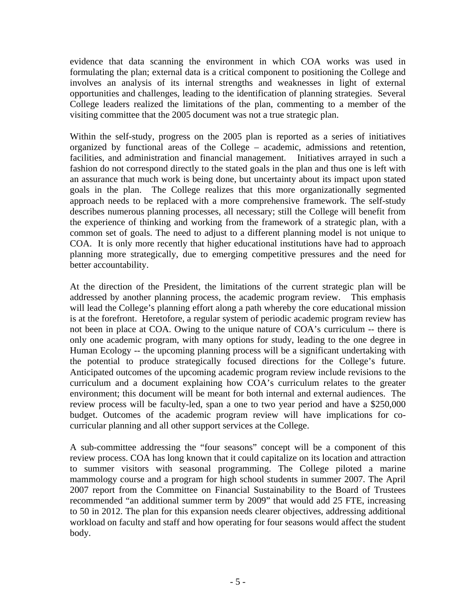evidence that data scanning the environment in which COA works was used in formulating the plan; external data is a critical component to positioning the College and involves an analysis of its internal strengths and weaknesses in light of external opportunities and challenges, leading to the identification of planning strategies. Several College leaders realized the limitations of the plan, commenting to a member of the visiting committee that the 2005 document was not a true strategic plan.

Within the self-study, progress on the 2005 plan is reported as a series of initiatives organized by functional areas of the College – academic, admissions and retention, facilities, and administration and financial management. Initiatives arrayed in such a fashion do not correspond directly to the stated goals in the plan and thus one is left with an assurance that much work is being done, but uncertainty about its impact upon stated goals in the plan. The College realizes that this more organizationally segmented approach needs to be replaced with a more comprehensive framework. The self-study describes numerous planning processes, all necessary; still the College will benefit from the experience of thinking and working from the framework of a strategic plan, with a common set of goals. The need to adjust to a different planning model is not unique to COA. It is only more recently that higher educational institutions have had to approach planning more strategically, due to emerging competitive pressures and the need for better accountability.

At the direction of the President, the limitations of the current strategic plan will be addressed by another planning process, the academic program review. This emphasis will lead the College's planning effort along a path whereby the core educational mission is at the forefront. Heretofore, a regular system of periodic academic program review has not been in place at COA. Owing to the unique nature of COA's curriculum -- there is only one academic program, with many options for study, leading to the one degree in Human Ecology -- the upcoming planning process will be a significant undertaking with the potential to produce strategically focused directions for the College's future. Anticipated outcomes of the upcoming academic program review include revisions to the curriculum and a document explaining how COA's curriculum relates to the greater environment; this document will be meant for both internal and external audiences. The review process will be faculty-led, span a one to two year period and have a \$250,000 budget. Outcomes of the academic program review will have implications for cocurricular planning and all other support services at the College.

A sub-committee addressing the "four seasons" concept will be a component of this review process. COA has long known that it could capitalize on its location and attraction to summer visitors with seasonal programming. The College piloted a marine mammology course and a program for high school students in summer 2007. The April 2007 report from the Committee on Financial Sustainability to the Board of Trustees recommended "an additional summer term by 2009" that would add 25 FTE, increasing to 50 in 2012. The plan for this expansion needs clearer objectives, addressing additional workload on faculty and staff and how operating for four seasons would affect the student body.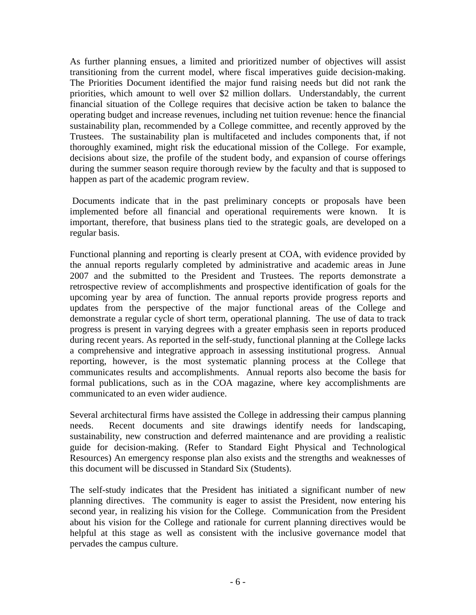As further planning ensues, a limited and prioritized number of objectives will assist transitioning from the current model, where fiscal imperatives guide decision-making. The Priorities Document identified the major fund raising needs but did not rank the priorities, which amount to well over \$2 million dollars. Understandably, the current financial situation of the College requires that decisive action be taken to balance the operating budget and increase revenues, including net tuition revenue: hence the financial sustainability plan, recommended by a College committee, and recently approved by the Trustees. The sustainability plan is multifaceted and includes components that, if not thoroughly examined, might risk the educational mission of the College. For example, decisions about size, the profile of the student body, and expansion of course offerings during the summer season require thorough review by the faculty and that is supposed to happen as part of the academic program review.

 Documents indicate that in the past preliminary concepts or proposals have been implemented before all financial and operational requirements were known. It is important, therefore, that business plans tied to the strategic goals, are developed on a regular basis.

Functional planning and reporting is clearly present at COA, with evidence provided by the annual reports regularly completed by administrative and academic areas in June 2007 and the submitted to the President and Trustees. The reports demonstrate a retrospective review of accomplishments and prospective identification of goals for the upcoming year by area of function. The annual reports provide progress reports and updates from the perspective of the major functional areas of the College and demonstrate a regular cycle of short term, operational planning. The use of data to track progress is present in varying degrees with a greater emphasis seen in reports produced during recent years. As reported in the self-study, functional planning at the College lacks a comprehensive and integrative approach in assessing institutional progress. Annual reporting, however, is the most systematic planning process at the College that communicates results and accomplishments. Annual reports also become the basis for formal publications, such as in the COA magazine, where key accomplishments are communicated to an even wider audience.

Several architectural firms have assisted the College in addressing their campus planning needs. Recent documents and site drawings identify needs for landscaping, sustainability, new construction and deferred maintenance and are providing a realistic guide for decision-making. (Refer to Standard Eight Physical and Technological Resources) An emergency response plan also exists and the strengths and weaknesses of this document will be discussed in Standard Six (Students).

The self-study indicates that the President has initiated a significant number of new planning directives. The community is eager to assist the President, now entering his second year, in realizing his vision for the College. Communication from the President about his vision for the College and rationale for current planning directives would be helpful at this stage as well as consistent with the inclusive governance model that pervades the campus culture.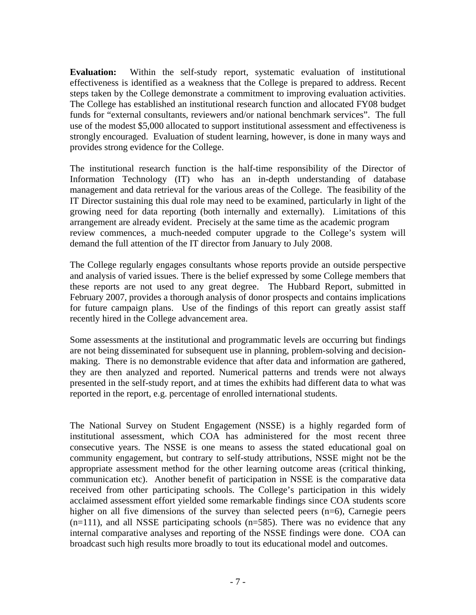**Evaluation:** Within the self-study report, systematic evaluation of institutional effectiveness is identified as a weakness that the College is prepared to address. Recent steps taken by the College demonstrate a commitment to improving evaluation activities. The College has established an institutional research function and allocated FY08 budget funds for "external consultants, reviewers and/or national benchmark services". The full use of the modest \$5,000 allocated to support institutional assessment and effectiveness is strongly encouraged. Evaluation of student learning, however, is done in many ways and provides strong evidence for the College.

The institutional research function is the half-time responsibility of the Director of Information Technology (IT) who has an in-depth understanding of database management and data retrieval for the various areas of the College. The feasibility of the IT Director sustaining this dual role may need to be examined, particularly in light of the growing need for data reporting (both internally and externally). Limitations of this arrangement are already evident. Precisely at the same time as the academic program review commences, a much-needed computer upgrade to the College's system will demand the full attention of the IT director from January to July 2008.

The College regularly engages consultants whose reports provide an outside perspective and analysis of varied issues. There is the belief expressed by some College members that these reports are not used to any great degree. The Hubbard Report, submitted in February 2007, provides a thorough analysis of donor prospects and contains implications for future campaign plans. Use of the findings of this report can greatly assist staff recently hired in the College advancement area.

Some assessments at the institutional and programmatic levels are occurring but findings are not being disseminated for subsequent use in planning, problem-solving and decisionmaking. There is no demonstrable evidence that after data and information are gathered, they are then analyzed and reported. Numerical patterns and trends were not always presented in the self-study report, and at times the exhibits had different data to what was reported in the report, e.g. percentage of enrolled international students.

The National Survey on Student Engagement (NSSE) is a highly regarded form of institutional assessment, which COA has administered for the most recent three consecutive years. The NSSE is one means to assess the stated educational goal on community engagement, but contrary to self-study attributions, NSSE might not be the appropriate assessment method for the other learning outcome areas (critical thinking, communication etc). Another benefit of participation in NSSE is the comparative data received from other participating schools. The College's participation in this widely acclaimed assessment effort yielded some remarkable findings since COA students score higher on all five dimensions of the survey than selected peers (n=6), Carnegie peers  $(n=111)$ , and all NSSE participating schools  $(n=585)$ . There was no evidence that any internal comparative analyses and reporting of the NSSE findings were done. COA can broadcast such high results more broadly to tout its educational model and outcomes.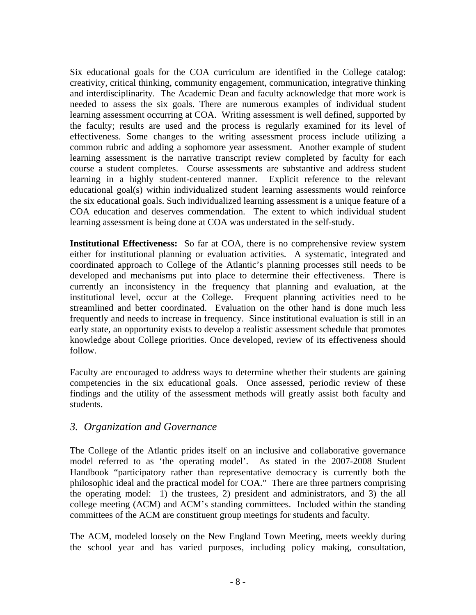Six educational goals for the COA curriculum are identified in the College catalog: creativity, critical thinking, community engagement, communication, integrative thinking and interdisciplinarity. The Academic Dean and faculty acknowledge that more work is needed to assess the six goals. There are numerous examples of individual student learning assessment occurring at COA. Writing assessment is well defined, supported by the faculty; results are used and the process is regularly examined for its level of effectiveness. Some changes to the writing assessment process include utilizing a common rubric and adding a sophomore year assessment. Another example of student learning assessment is the narrative transcript review completed by faculty for each course a student completes. Course assessments are substantive and address student learning in a highly student-centered manner. Explicit reference to the relevant educational goal(s) within individualized student learning assessments would reinforce the six educational goals. Such individualized learning assessment is a unique feature of a COA education and deserves commendation. The extent to which individual student learning assessment is being done at COA was understated in the self-study.

**Institutional Effectiveness:** So far at COA, there is no comprehensive review system either for institutional planning or evaluation activities. A systematic, integrated and coordinated approach to College of the Atlantic's planning processes still needs to be developed and mechanisms put into place to determine their effectiveness. There is currently an inconsistency in the frequency that planning and evaluation, at the institutional level, occur at the College. Frequent planning activities need to be streamlined and better coordinated. Evaluation on the other hand is done much less frequently and needs to increase in frequency. Since institutional evaluation is still in an early state, an opportunity exists to develop a realistic assessment schedule that promotes knowledge about College priorities. Once developed, review of its effectiveness should follow.

Faculty are encouraged to address ways to determine whether their students are gaining competencies in the six educational goals. Once assessed, periodic review of these findings and the utility of the assessment methods will greatly assist both faculty and students.

# *3. Organization and Governance*

The College of the Atlantic prides itself on an inclusive and collaborative governance model referred to as 'the operating model'. As stated in the 2007-2008 Student Handbook "participatory rather than representative democracy is currently both the philosophic ideal and the practical model for COA." There are three partners comprising the operating model: 1) the trustees, 2) president and administrators, and 3) the all college meeting (ACM) and ACM's standing committees. Included within the standing committees of the ACM are constituent group meetings for students and faculty.

The ACM, modeled loosely on the New England Town Meeting, meets weekly during the school year and has varied purposes, including policy making, consultation,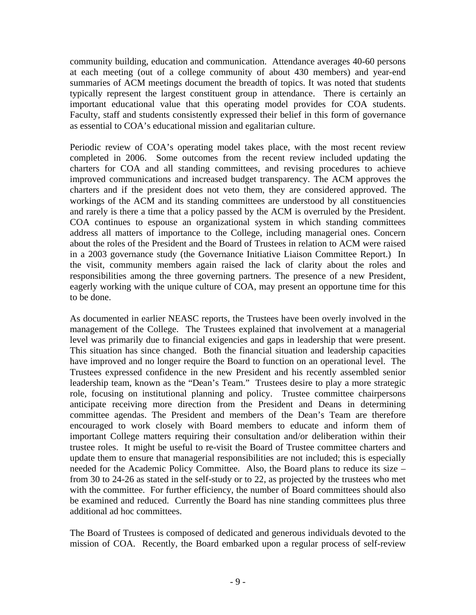community building, education and communication. Attendance averages 40-60 persons at each meeting (out of a college community of about 430 members) and year-end summaries of ACM meetings document the breadth of topics. It was noted that students typically represent the largest constituent group in attendance. There is certainly an important educational value that this operating model provides for COA students. Faculty, staff and students consistently expressed their belief in this form of governance as essential to COA's educational mission and egalitarian culture.

Periodic review of COA's operating model takes place, with the most recent review completed in 2006. Some outcomes from the recent review included updating the charters for COA and all standing committees, and revising procedures to achieve improved communications and increased budget transparency. The ACM approves the charters and if the president does not veto them, they are considered approved. The workings of the ACM and its standing committees are understood by all constituencies and rarely is there a time that a policy passed by the ACM is overruled by the President. COA continues to espouse an organizational system in which standing committees address all matters of importance to the College, including managerial ones. Concern about the roles of the President and the Board of Trustees in relation to ACM were raised in a 2003 governance study (the Governance Initiative Liaison Committee Report.) In the visit, community members again raised the lack of clarity about the roles and responsibilities among the three governing partners. The presence of a new President, eagerly working with the unique culture of COA, may present an opportune time for this to be done.

As documented in earlier NEASC reports, the Trustees have been overly involved in the management of the College. The Trustees explained that involvement at a managerial level was primarily due to financial exigencies and gaps in leadership that were present. This situation has since changed. Both the financial situation and leadership capacities have improved and no longer require the Board to function on an operational level. The Trustees expressed confidence in the new President and his recently assembled senior leadership team, known as the "Dean's Team." Trustees desire to play a more strategic role, focusing on institutional planning and policy. Trustee committee chairpersons anticipate receiving more direction from the President and Deans in determining committee agendas. The President and members of the Dean's Team are therefore encouraged to work closely with Board members to educate and inform them of important College matters requiring their consultation and/or deliberation within their trustee roles. It might be useful to re-visit the Board of Trustee committee charters and update them to ensure that managerial responsibilities are not included; this is especially needed for the Academic Policy Committee. Also, the Board plans to reduce its size – from 30 to 24-26 as stated in the self-study or to 22, as projected by the trustees who met with the committee. For further efficiency, the number of Board committees should also be examined and reduced. Currently the Board has nine standing committees plus three additional ad hoc committees.

The Board of Trustees is composed of dedicated and generous individuals devoted to the mission of COA. Recently, the Board embarked upon a regular process of self-review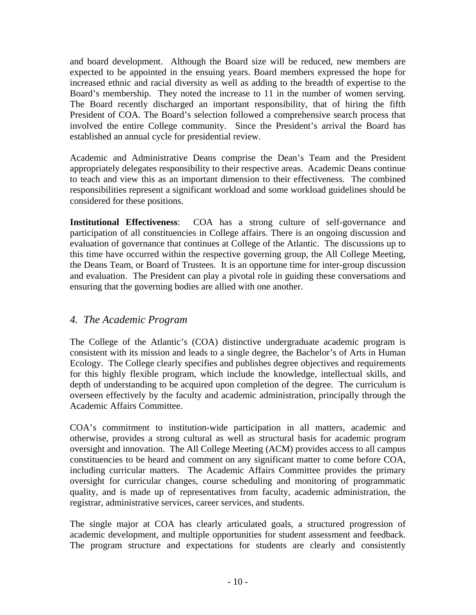and board development. Although the Board size will be reduced, new members are expected to be appointed in the ensuing years. Board members expressed the hope for increased ethnic and racial diversity as well as adding to the breadth of expertise to the Board's membership. They noted the increase to 11 in the number of women serving. The Board recently discharged an important responsibility, that of hiring the fifth President of COA. The Board's selection followed a comprehensive search process that involved the entire College community. Since the President's arrival the Board has established an annual cycle for presidential review.

Academic and Administrative Deans comprise the Dean's Team and the President appropriately delegates responsibility to their respective areas. Academic Deans continue to teach and view this as an important dimension to their effectiveness. The combined responsibilities represent a significant workload and some workload guidelines should be considered for these positions.

**Institutional Effectiveness**: COA has a strong culture of self-governance and participation of all constituencies in College affairs. There is an ongoing discussion and evaluation of governance that continues at College of the Atlantic. The discussions up to this time have occurred within the respective governing group, the All College Meeting, the Deans Team, or Board of Trustees. It is an opportune time for inter-group discussion and evaluation. The President can play a pivotal role in guiding these conversations and ensuring that the governing bodies are allied with one another.

# *4. The Academic Program*

The College of the Atlantic's (COA) distinctive undergraduate academic program is consistent with its mission and leads to a single degree, the Bachelor's of Arts in Human Ecology. The College clearly specifies and publishes degree objectives and requirements for this highly flexible program, which include the knowledge, intellectual skills, and depth of understanding to be acquired upon completion of the degree. The curriculum is overseen effectively by the faculty and academic administration, principally through the Academic Affairs Committee.

COA's commitment to institution-wide participation in all matters, academic and otherwise, provides a strong cultural as well as structural basis for academic program oversight and innovation. The All College Meeting (ACM) provides access to all campus constituencies to be heard and comment on any significant matter to come before COA, including curricular matters. The Academic Affairs Committee provides the primary oversight for curricular changes, course scheduling and monitoring of programmatic quality, and is made up of representatives from faculty, academic administration, the registrar, administrative services, career services, and students.

The single major at COA has clearly articulated goals, a structured progression of academic development, and multiple opportunities for student assessment and feedback. The program structure and expectations for students are clearly and consistently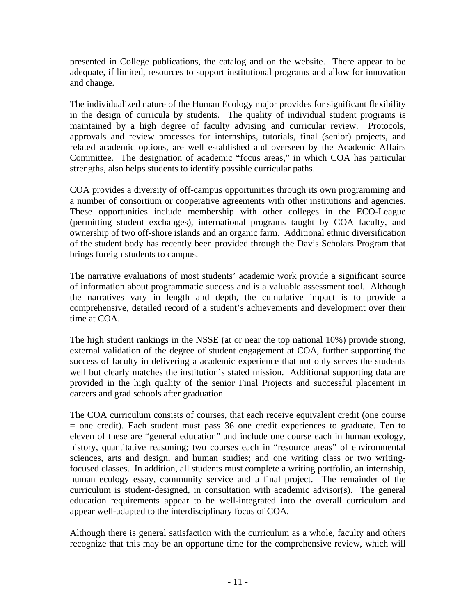presented in College publications, the catalog and on the website. There appear to be adequate, if limited, resources to support institutional programs and allow for innovation and change.

The individualized nature of the Human Ecology major provides for significant flexibility in the design of curricula by students. The quality of individual student programs is maintained by a high degree of faculty advising and curricular review. Protocols, approvals and review processes for internships, tutorials, final (senior) projects, and related academic options, are well established and overseen by the Academic Affairs Committee. The designation of academic "focus areas," in which COA has particular strengths, also helps students to identify possible curricular paths.

COA provides a diversity of off-campus opportunities through its own programming and a number of consortium or cooperative agreements with other institutions and agencies. These opportunities include membership with other colleges in the ECO-League (permitting student exchanges), international programs taught by COA faculty, and ownership of two off-shore islands and an organic farm. Additional ethnic diversification of the student body has recently been provided through the Davis Scholars Program that brings foreign students to campus.

The narrative evaluations of most students' academic work provide a significant source of information about programmatic success and is a valuable assessment tool. Although the narratives vary in length and depth, the cumulative impact is to provide a comprehensive, detailed record of a student's achievements and development over their time at COA.

The high student rankings in the NSSE (at or near the top national 10%) provide strong, external validation of the degree of student engagement at COA, further supporting the success of faculty in delivering a academic experience that not only serves the students well but clearly matches the institution's stated mission. Additional supporting data are provided in the high quality of the senior Final Projects and successful placement in careers and grad schools after graduation.

The COA curriculum consists of courses, that each receive equivalent credit (one course  $=$  one credit). Each student must pass 36 one credit experiences to graduate. Ten to eleven of these are "general education" and include one course each in human ecology, history, quantitative reasoning; two courses each in "resource areas" of environmental sciences, arts and design, and human studies; and one writing class or two writingfocused classes. In addition, all students must complete a writing portfolio, an internship, human ecology essay, community service and a final project. The remainder of the curriculum is student-designed, in consultation with academic advisor(s). The general education requirements appear to be well-integrated into the overall curriculum and appear well-adapted to the interdisciplinary focus of COA.

Although there is general satisfaction with the curriculum as a whole, faculty and others recognize that this may be an opportune time for the comprehensive review, which will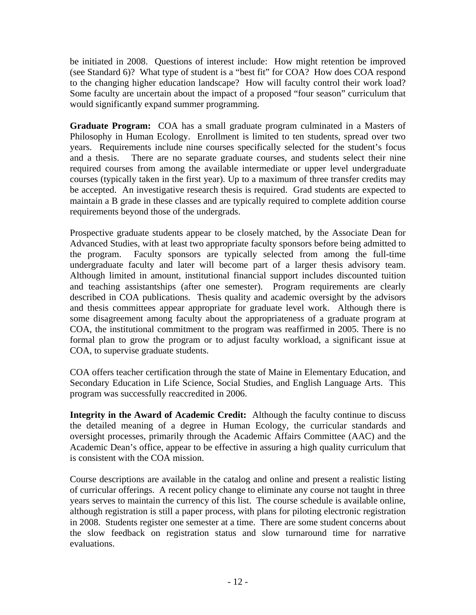be initiated in 2008. Questions of interest include: How might retention be improved (see Standard 6)? What type of student is a "best fit" for COA? How does COA respond to the changing higher education landscape? How will faculty control their work load? Some faculty are uncertain about the impact of a proposed "four season" curriculum that would significantly expand summer programming.

**Graduate Program:** COA has a small graduate program culminated in a Masters of Philosophy in Human Ecology. Enrollment is limited to ten students, spread over two years. Requirements include nine courses specifically selected for the student's focus and a thesis. There are no separate graduate courses, and students select their nine required courses from among the available intermediate or upper level undergraduate courses (typically taken in the first year). Up to a maximum of three transfer credits may be accepted. An investigative research thesis is required. Grad students are expected to maintain a B grade in these classes and are typically required to complete addition course requirements beyond those of the undergrads.

Prospective graduate students appear to be closely matched, by the Associate Dean for Advanced Studies, with at least two appropriate faculty sponsors before being admitted to the program. Faculty sponsors are typically selected from among the full-time undergraduate faculty and later will become part of a larger thesis advisory team. Although limited in amount, institutional financial support includes discounted tuition and teaching assistantships (after one semester). Program requirements are clearly described in COA publications. Thesis quality and academic oversight by the advisors and thesis committees appear appropriate for graduate level work. Although there is some disagreement among faculty about the appropriateness of a graduate program at COA, the institutional commitment to the program was reaffirmed in 2005. There is no formal plan to grow the program or to adjust faculty workload, a significant issue at COA, to supervise graduate students.

COA offers teacher certification through the state of Maine in Elementary Education, and Secondary Education in Life Science, Social Studies, and English Language Arts. This program was successfully reaccredited in 2006.

**Integrity in the Award of Academic Credit:** Although the faculty continue to discuss the detailed meaning of a degree in Human Ecology, the curricular standards and oversight processes, primarily through the Academic Affairs Committee (AAC) and the Academic Dean's office, appear to be effective in assuring a high quality curriculum that is consistent with the COA mission.

Course descriptions are available in the catalog and online and present a realistic listing of curricular offerings. A recent policy change to eliminate any course not taught in three years serves to maintain the currency of this list. The course schedule is available online, although registration is still a paper process, with plans for piloting electronic registration in 2008. Students register one semester at a time. There are some student concerns about the slow feedback on registration status and slow turnaround time for narrative evaluations.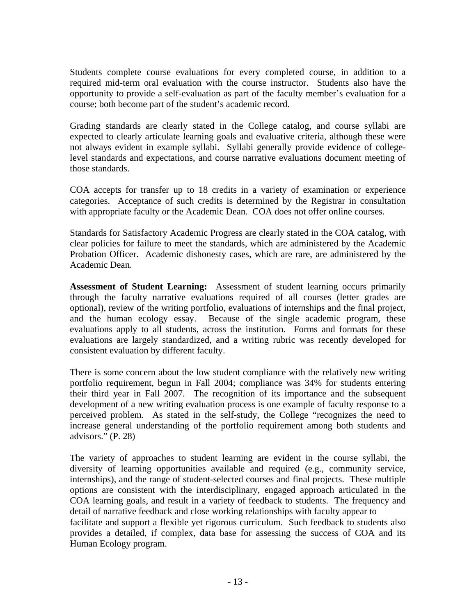Students complete course evaluations for every completed course, in addition to a required mid-term oral evaluation with the course instructor. Students also have the opportunity to provide a self-evaluation as part of the faculty member's evaluation for a course; both become part of the student's academic record.

Grading standards are clearly stated in the College catalog, and course syllabi are expected to clearly articulate learning goals and evaluative criteria, although these were not always evident in example syllabi. Syllabi generally provide evidence of collegelevel standards and expectations, and course narrative evaluations document meeting of those standards.

COA accepts for transfer up to 18 credits in a variety of examination or experience categories. Acceptance of such credits is determined by the Registrar in consultation with appropriate faculty or the Academic Dean. COA does not offer online courses.

Standards for Satisfactory Academic Progress are clearly stated in the COA catalog, with clear policies for failure to meet the standards, which are administered by the Academic Probation Officer. Academic dishonesty cases, which are rare, are administered by the Academic Dean.

**Assessment of Student Learning:** Assessment of student learning occurs primarily through the faculty narrative evaluations required of all courses (letter grades are optional), review of the writing portfolio, evaluations of internships and the final project, and the human ecology essay. Because of the single academic program, these evaluations apply to all students, across the institution. Forms and formats for these evaluations are largely standardized, and a writing rubric was recently developed for consistent evaluation by different faculty.

There is some concern about the low student compliance with the relatively new writing portfolio requirement, begun in Fall 2004; compliance was 34% for students entering their third year in Fall 2007. The recognition of its importance and the subsequent development of a new writing evaluation process is one example of faculty response to a perceived problem. As stated in the self-study, the College "recognizes the need to increase general understanding of the portfolio requirement among both students and advisors." (P. 28)

The variety of approaches to student learning are evident in the course syllabi, the diversity of learning opportunities available and required (e.g., community service, internships), and the range of student-selected courses and final projects. These multiple options are consistent with the interdisciplinary, engaged approach articulated in the COA learning goals, and result in a variety of feedback to students. The frequency and detail of narrative feedback and close working relationships with faculty appear to

facilitate and support a flexible yet rigorous curriculum. Such feedback to students also provides a detailed, if complex, data base for assessing the success of COA and its Human Ecology program.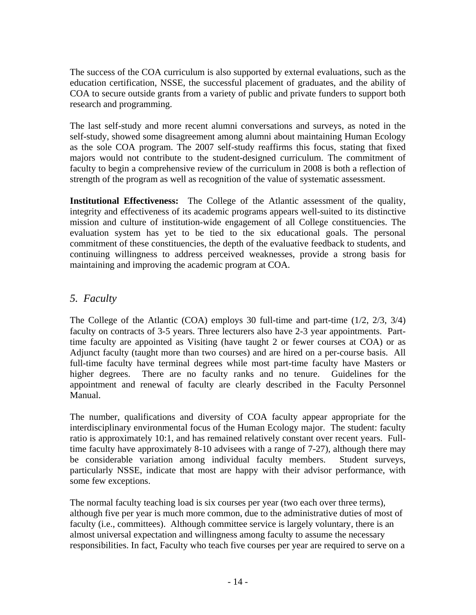The success of the COA curriculum is also supported by external evaluations, such as the education certification, NSSE, the successful placement of graduates, and the ability of COA to secure outside grants from a variety of public and private funders to support both research and programming.

The last self-study and more recent alumni conversations and surveys, as noted in the self-study, showed some disagreement among alumni about maintaining Human Ecology as the sole COA program. The 2007 self-study reaffirms this focus, stating that fixed majors would not contribute to the student-designed curriculum. The commitment of faculty to begin a comprehensive review of the curriculum in 2008 is both a reflection of strength of the program as well as recognition of the value of systematic assessment.

**Institutional Effectiveness:** The College of the Atlantic assessment of the quality, integrity and effectiveness of its academic programs appears well-suited to its distinctive mission and culture of institution-wide engagement of all College constituencies. The evaluation system has yet to be tied to the six educational goals. The personal commitment of these constituencies, the depth of the evaluative feedback to students, and continuing willingness to address perceived weaknesses, provide a strong basis for maintaining and improving the academic program at COA.

# *5. Faculty*

The College of the Atlantic (COA) employs 30 full-time and part-time (1/2, 2/3, 3/4) faculty on contracts of 3-5 years. Three lecturers also have 2-3 year appointments. Parttime faculty are appointed as Visiting (have taught 2 or fewer courses at COA) or as Adjunct faculty (taught more than two courses) and are hired on a per-course basis. All full-time faculty have terminal degrees while most part-time faculty have Masters or higher degrees. There are no faculty ranks and no tenure. Guidelines for the appointment and renewal of faculty are clearly described in the Faculty Personnel Manual.

The number, qualifications and diversity of COA faculty appear appropriate for the interdisciplinary environmental focus of the Human Ecology major. The student: faculty ratio is approximately 10:1, and has remained relatively constant over recent years. Fulltime faculty have approximately 8-10 advisees with a range of 7-27), although there may be considerable variation among individual faculty members. Student surveys, particularly NSSE, indicate that most are happy with their advisor performance, with some few exceptions.

The normal faculty teaching load is six courses per year (two each over three terms), although five per year is much more common, due to the administrative duties of most of faculty (i.e., committees). Although committee service is largely voluntary, there is an almost universal expectation and willingness among faculty to assume the necessary responsibilities. In fact, Faculty who teach five courses per year are required to serve on a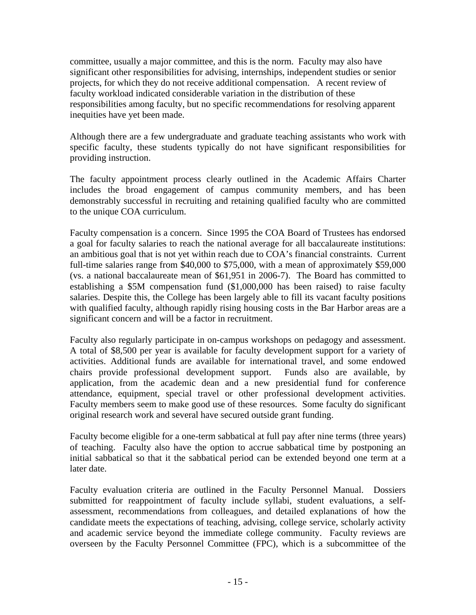committee, usually a major committee, and this is the norm. Faculty may also have significant other responsibilities for advising, internships, independent studies or senior projects, for which they do not receive additional compensation. A recent review of faculty workload indicated considerable variation in the distribution of these responsibilities among faculty, but no specific recommendations for resolving apparent inequities have yet been made.

Although there are a few undergraduate and graduate teaching assistants who work with specific faculty, these students typically do not have significant responsibilities for providing instruction.

The faculty appointment process clearly outlined in the Academic Affairs Charter includes the broad engagement of campus community members, and has been demonstrably successful in recruiting and retaining qualified faculty who are committed to the unique COA curriculum.

Faculty compensation is a concern. Since 1995 the COA Board of Trustees has endorsed a goal for faculty salaries to reach the national average for all baccalaureate institutions: an ambitious goal that is not yet within reach due to COA's financial constraints. Current full-time salaries range from \$40,000 to \$75,000, with a mean of approximately \$59,000 (vs. a national baccalaureate mean of \$61,951 in 2006-7). The Board has committed to establishing a \$5M compensation fund (\$1,000,000 has been raised) to raise faculty salaries. Despite this, the College has been largely able to fill its vacant faculty positions with qualified faculty, although rapidly rising housing costs in the Bar Harbor areas are a significant concern and will be a factor in recruitment.

Faculty also regularly participate in on-campus workshops on pedagogy and assessment. A total of \$8,500 per year is available for faculty development support for a variety of activities. Additional funds are available for international travel, and some endowed chairs provide professional development support. Funds also are available, by application, from the academic dean and a new presidential fund for conference attendance, equipment, special travel or other professional development activities. Faculty members seem to make good use of these resources. Some faculty do significant original research work and several have secured outside grant funding.

Faculty become eligible for a one-term sabbatical at full pay after nine terms (three years) of teaching. Faculty also have the option to accrue sabbatical time by postponing an initial sabbatical so that it the sabbatical period can be extended beyond one term at a later date.

Faculty evaluation criteria are outlined in the Faculty Personnel Manual. Dossiers submitted for reappointment of faculty include syllabi, student evaluations, a selfassessment, recommendations from colleagues, and detailed explanations of how the candidate meets the expectations of teaching, advising, college service, scholarly activity and academic service beyond the immediate college community. Faculty reviews are overseen by the Faculty Personnel Committee (FPC), which is a subcommittee of the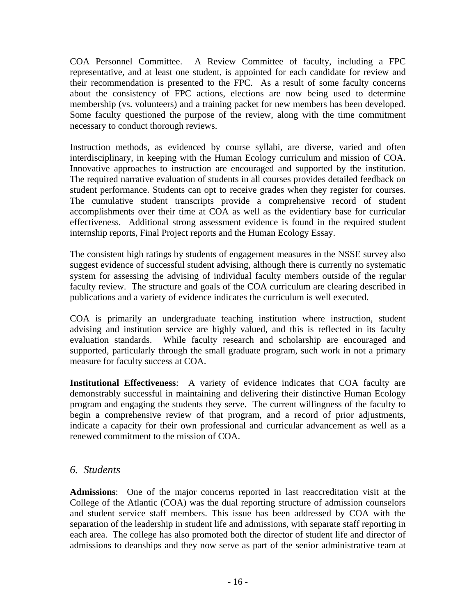COA Personnel Committee. A Review Committee of faculty, including a FPC representative, and at least one student, is appointed for each candidate for review and their recommendation is presented to the FPC. As a result of some faculty concerns about the consistency of FPC actions, elections are now being used to determine membership (vs. volunteers) and a training packet for new members has been developed. Some faculty questioned the purpose of the review, along with the time commitment necessary to conduct thorough reviews.

Instruction methods, as evidenced by course syllabi, are diverse, varied and often interdisciplinary, in keeping with the Human Ecology curriculum and mission of COA. Innovative approaches to instruction are encouraged and supported by the institution. The required narrative evaluation of students in all courses provides detailed feedback on student performance. Students can opt to receive grades when they register for courses. The cumulative student transcripts provide a comprehensive record of student accomplishments over their time at COA as well as the evidentiary base for curricular effectiveness. Additional strong assessment evidence is found in the required student internship reports, Final Project reports and the Human Ecology Essay.

The consistent high ratings by students of engagement measures in the NSSE survey also suggest evidence of successful student advising, although there is currently no systematic system for assessing the advising of individual faculty members outside of the regular faculty review. The structure and goals of the COA curriculum are clearing described in publications and a variety of evidence indicates the curriculum is well executed.

COA is primarily an undergraduate teaching institution where instruction, student advising and institution service are highly valued, and this is reflected in its faculty evaluation standards. While faculty research and scholarship are encouraged and supported, particularly through the small graduate program, such work in not a primary measure for faculty success at COA.

**Institutional Effectiveness**: A variety of evidence indicates that COA faculty are demonstrably successful in maintaining and delivering their distinctive Human Ecology program and engaging the students they serve. The current willingness of the faculty to begin a comprehensive review of that program, and a record of prior adjustments, indicate a capacity for their own professional and curricular advancement as well as a renewed commitment to the mission of COA.

# *6. Students*

**Admissions**: One of the major concerns reported in last reaccreditation visit at the College of the Atlantic (COA) was the dual reporting structure of admission counselors and student service staff members. This issue has been addressed by COA with the separation of the leadership in student life and admissions, with separate staff reporting in each area. The college has also promoted both the director of student life and director of admissions to deanships and they now serve as part of the senior administrative team at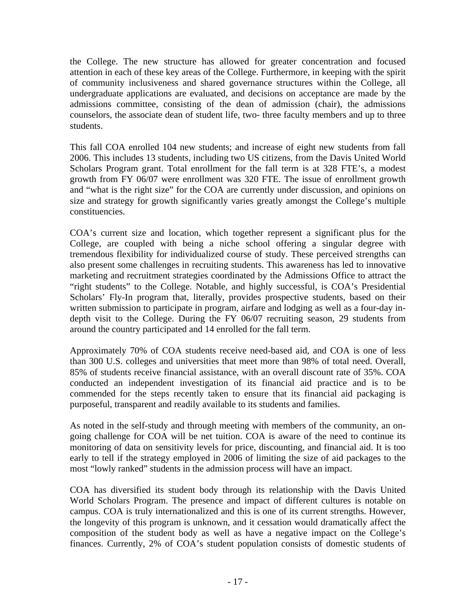the College. The new structure has allowed for greater concentration and focused attention in each of these key areas of the College. Furthermore, in keeping with the spirit of community inclusiveness and shared governance structures within the College, all undergraduate applications are evaluated, and decisions on acceptance are made by the admissions committee, consisting of the dean of admission (chair), the admissions counselors, the associate dean of student life, two- three faculty members and up to three students.

This fall COA enrolled 104 new students; and increase of eight new students from fall 2006. This includes 13 students, including two US citizens, from the Davis United World Scholars Program grant. Total enrollment for the fall term is at 328 FTE's, a modest growth from FY 06/07 were enrollment was 320 FTE. The issue of enrollment growth and "what is the right size" for the COA are currently under discussion, and opinions on size and strategy for growth significantly varies greatly amongst the College's multiple constituencies.

COA's current size and location, which together represent a significant plus for the College, are coupled with being a niche school offering a singular degree with tremendous flexibility for individualized course of study. These perceived strengths can also present some challenges in recruiting students. This awareness has led to innovative marketing and recruitment strategies coordinated by the Admissions Office to attract the "right students" to the College. Notable, and highly successful, is COA's Presidential Scholars' Fly-In program that, literally, provides prospective students, based on their written submission to participate in program, airfare and lodging as well as a four-day indepth visit to the College. During the FY 06/07 recruiting season, 29 students from around the country participated and 14 enrolled for the fall term.

Approximately 70% of COA students receive need-based aid, and COA is one of less than 300 U.S. colleges and universities that meet more than 98% of total need. Overall, 85% of students receive financial assistance, with an overall discount rate of 35%. COA conducted an independent investigation of its financial aid practice and is to be commended for the steps recently taken to ensure that its financial aid packaging is purposeful, transparent and readily available to its students and families.

As noted in the self-study and through meeting with members of the community, an ongoing challenge for COA will be net tuition. COA is aware of the need to continue its monitoring of data on sensitivity levels for price, discounting, and financial aid. It is too early to tell if the strategy employed in 2006 of limiting the size of aid packages to the most "lowly ranked" students in the admission process will have an impact.

COA has diversified its student body through its relationship with the Davis United World Scholars Program. The presence and impact of different cultures is notable on campus. COA is truly internationalized and this is one of its current strengths. However, the longevity of this program is unknown, and it cessation would dramatically affect the composition of the student body as well as have a negative impact on the College's finances. Currently, 2% of COA's student population consists of domestic students of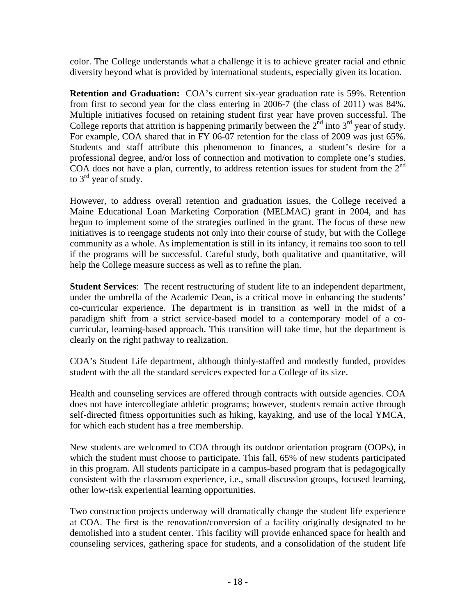color. The College understands what a challenge it is to achieve greater racial and ethnic diversity beyond what is provided by international students, especially given its location.

**Retention and Graduation:** COA's current six-year graduation rate is 59%. Retention from first to second year for the class entering in 2006-7 (the class of 2011) was 84%. Multiple initiatives focused on retaining student first year have proven successful. The College reports that attrition is happening primarily between the  $2<sup>nd</sup>$  into  $3<sup>rd</sup>$  year of study. For example, COA shared that in FY 06-07 retention for the class of 2009 was just 65%. Students and staff attribute this phenomenon to finances, a student's desire for a professional degree, and/or loss of connection and motivation to complete one's studies. COA does not have a plan, currently, to address retention issues for student from the  $2<sup>nd</sup>$ to  $3<sup>rd</sup>$  year of study.

However, to address overall retention and graduation issues, the College received a Maine Educational Loan Marketing Corporation (MELMAC) grant in 2004, and has begun to implement some of the strategies outlined in the grant. The focus of these new initiatives is to reengage students not only into their course of study, but with the College community as a whole. As implementation is still in its infancy, it remains too soon to tell if the programs will be successful. Careful study, both qualitative and quantitative, will help the College measure success as well as to refine the plan.

**Student Services**: The recent restructuring of student life to an independent department, under the umbrella of the Academic Dean, is a critical move in enhancing the students' co-curricular experience. The department is in transition as well in the midst of a paradigm shift from a strict service-based model to a contemporary model of a cocurricular, learning-based approach. This transition will take time, but the department is clearly on the right pathway to realization.

COA's Student Life department, although thinly-staffed and modestly funded, provides student with the all the standard services expected for a College of its size.

Health and counseling services are offered through contracts with outside agencies. COA does not have intercollegiate athletic programs; however, students remain active through self-directed fitness opportunities such as hiking, kayaking, and use of the local YMCA, for which each student has a free membership.

New students are welcomed to COA through its outdoor orientation program (OOPs), in which the student must choose to participate. This fall, 65% of new students participated in this program. All students participate in a campus-based program that is pedagogically consistent with the classroom experience, i.e., small discussion groups, focused learning, other low-risk experiential learning opportunities.

Two construction projects underway will dramatically change the student life experience at COA. The first is the renovation/conversion of a facility originally designated to be demolished into a student center. This facility will provide enhanced space for health and counseling services, gathering space for students, and a consolidation of the student life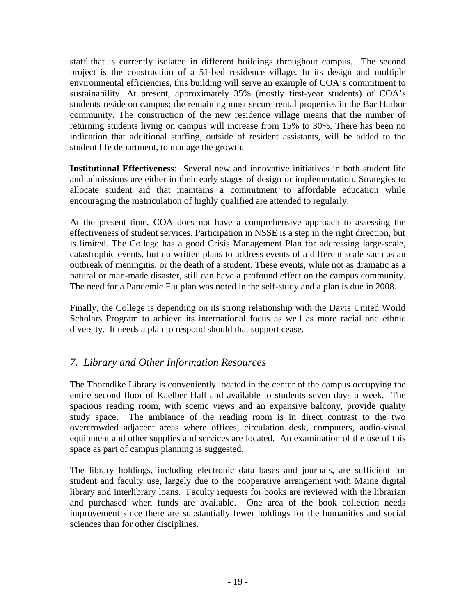staff that is currently isolated in different buildings throughout campus. The second project is the construction of a 51-bed residence village. In its design and multiple environmental efficiencies, this building will serve an example of COA's commitment to sustainability. At present, approximately 35% (mostly first-year students) of COA's students reside on campus; the remaining must secure rental properties in the Bar Harbor community. The construction of the new residence village means that the number of returning students living on campus will increase from 15% to 30%. There has been no indication that additional staffing, outside of resident assistants, will be added to the student life department, to manage the growth.

**Institutional Effectiveness**: Several new and innovative initiatives in both student life and admissions are either in their early stages of design or implementation. Strategies to allocate student aid that maintains a commitment to affordable education while encouraging the matriculation of highly qualified are attended to regularly.

At the present time, COA does not have a comprehensive approach to assessing the effectiveness of student services. Participation in NSSE is a step in the right direction, but is limited. The College has a good Crisis Management Plan for addressing large-scale, catastrophic events, but no written plans to address events of a different scale such as an outbreak of meningitis, or the death of a student. These events, while not as dramatic as a natural or man-made disaster, still can have a profound effect on the campus community. The need for a Pandemic Flu plan was noted in the self-study and a plan is due in 2008.

Finally, the College is depending on its strong relationship with the Davis United World Scholars Program to achieve its international focus as well as more racial and ethnic diversity. It needs a plan to respond should that support cease.

# *7. Library and Other Information Resources*

The Thorndike Library is conveniently located in the center of the campus occupying the entire second floor of Kaelber Hall and available to students seven days a week. The spacious reading room, with scenic views and an expansive balcony, provide quality study space. The ambiance of the reading room is in direct contrast to the two overcrowded adjacent areas where offices, circulation desk, computers, audio-visual equipment and other supplies and services are located. An examination of the use of this space as part of campus planning is suggested.

The library holdings, including electronic data bases and journals, are sufficient for student and faculty use, largely due to the cooperative arrangement with Maine digital library and interlibrary loans. Faculty requests for books are reviewed with the librarian and purchased when funds are available. One area of the book collection needs improvement since there are substantially fewer holdings for the humanities and social sciences than for other disciplines.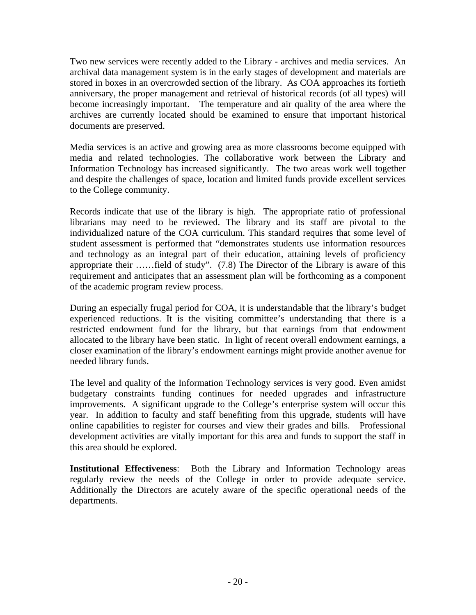Two new services were recently added to the Library - archives and media services. An archival data management system is in the early stages of development and materials are stored in boxes in an overcrowded section of the library. As COA approaches its fortieth anniversary, the proper management and retrieval of historical records (of all types) will become increasingly important. The temperature and air quality of the area where the archives are currently located should be examined to ensure that important historical documents are preserved.

Media services is an active and growing area as more classrooms become equipped with media and related technologies. The collaborative work between the Library and Information Technology has increased significantly. The two areas work well together and despite the challenges of space, location and limited funds provide excellent services to the College community.

Records indicate that use of the library is high. The appropriate ratio of professional librarians may need to be reviewed. The library and its staff are pivotal to the individualized nature of the COA curriculum. This standard requires that some level of student assessment is performed that "demonstrates students use information resources and technology as an integral part of their education, attaining levels of proficiency appropriate their ……field of study". (7.8) The Director of the Library is aware of this requirement and anticipates that an assessment plan will be forthcoming as a component of the academic program review process.

During an especially frugal period for COA, it is understandable that the library's budget experienced reductions. It is the visiting committee's understanding that there is a restricted endowment fund for the library, but that earnings from that endowment allocated to the library have been static. In light of recent overall endowment earnings, a closer examination of the library's endowment earnings might provide another avenue for needed library funds.

The level and quality of the Information Technology services is very good. Even amidst budgetary constraints funding continues for needed upgrades and infrastructure improvements. A significant upgrade to the College's enterprise system will occur this year. In addition to faculty and staff benefiting from this upgrade, students will have online capabilities to register for courses and view their grades and bills. Professional development activities are vitally important for this area and funds to support the staff in this area should be explored.

**Institutional Effectiveness**: Both the Library and Information Technology areas regularly review the needs of the College in order to provide adequate service. Additionally the Directors are acutely aware of the specific operational needs of the departments.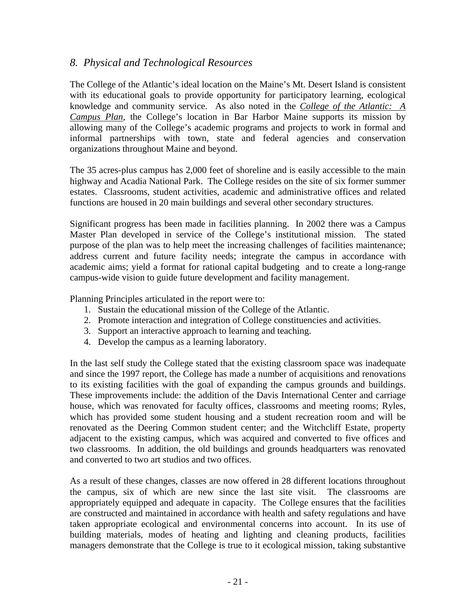# *8. Physical and Technological Resources*

The College of the Atlantic's ideal location on the Maine's Mt. Desert Island is consistent with its educational goals to provide opportunity for participatory learning, ecological knowledge and community service. As also noted in the *College of the Atlantic: A Campus Plan*, the College's location in Bar Harbor Maine supports its mission by allowing many of the College's academic programs and projects to work in formal and informal partnerships with town, state and federal agencies and conservation organizations throughout Maine and beyond.

The 35 acres-plus campus has 2,000 feet of shoreline and is easily accessible to the main highway and Acadia National Park. The College resides on the site of six former summer estates. Classrooms, student activities, academic and administrative offices and related functions are housed in 20 main buildings and several other secondary structures.

Significant progress has been made in facilities planning. In 2002 there was a Campus Master Plan developed in service of the College's institutional mission. The stated purpose of the plan was to help meet the increasing challenges of facilities maintenance; address current and future facility needs; integrate the campus in accordance with academic aims; yield a format for rational capital budgeting and to create a long-range campus-wide vision to guide future development and facility management.

Planning Principles articulated in the report were to:

- 1. Sustain the educational mission of the College of the Atlantic.
- 2. Promote interaction and integration of College constituencies and activities.
- 3. Support an interactive approach to learning and teaching.
- 4. Develop the campus as a learning laboratory.

In the last self study the College stated that the existing classroom space was inadequate and since the 1997 report, the College has made a number of acquisitions and renovations to its existing facilities with the goal of expanding the campus grounds and buildings. These improvements include: the addition of the Davis International Center and carriage house, which was renovated for faculty offices, classrooms and meeting rooms; Ryles, which has provided some student housing and a student recreation room and will be renovated as the Deering Common student center; and the Witchcliff Estate, property adjacent to the existing campus, which was acquired and converted to five offices and two classrooms. In addition, the old buildings and grounds headquarters was renovated and converted to two art studios and two offices.

As a result of these changes, classes are now offered in 28 different locations throughout the campus, six of which are new since the last site visit. The classrooms are appropriately equipped and adequate in capacity. The College ensures that the facilities are constructed and maintained in accordance with health and safety regulations and have taken appropriate ecological and environmental concerns into account. In its use of building materials, modes of heating and lighting and cleaning products, facilities managers demonstrate that the College is true to it ecological mission, taking substantive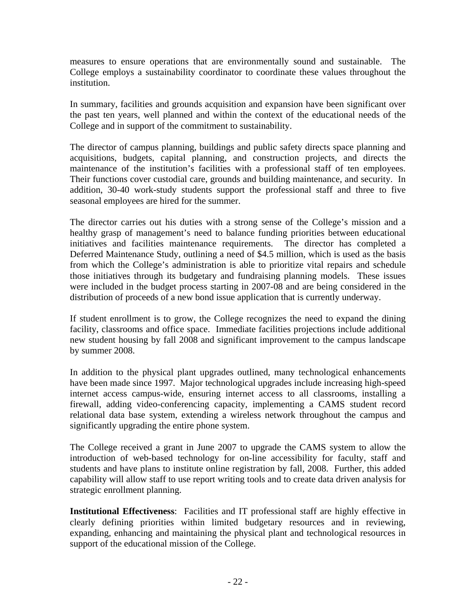measures to ensure operations that are environmentally sound and sustainable. The College employs a sustainability coordinator to coordinate these values throughout the institution.

In summary, facilities and grounds acquisition and expansion have been significant over the past ten years, well planned and within the context of the educational needs of the College and in support of the commitment to sustainability.

The director of campus planning, buildings and public safety directs space planning and acquisitions, budgets, capital planning, and construction projects, and directs the maintenance of the institution's facilities with a professional staff of ten employees. Their functions cover custodial care, grounds and building maintenance, and security. In addition, 30-40 work-study students support the professional staff and three to five seasonal employees are hired for the summer.

The director carries out his duties with a strong sense of the College's mission and a healthy grasp of management's need to balance funding priorities between educational initiatives and facilities maintenance requirements. The director has completed a Deferred Maintenance Study, outlining a need of \$4.5 million, which is used as the basis from which the College's administration is able to prioritize vital repairs and schedule those initiatives through its budgetary and fundraising planning models. These issues were included in the budget process starting in 2007-08 and are being considered in the distribution of proceeds of a new bond issue application that is currently underway.

If student enrollment is to grow, the College recognizes the need to expand the dining facility, classrooms and office space. Immediate facilities projections include additional new student housing by fall 2008 and significant improvement to the campus landscape by summer 2008.

In addition to the physical plant upgrades outlined, many technological enhancements have been made since 1997. Major technological upgrades include increasing high-speed internet access campus-wide, ensuring internet access to all classrooms, installing a firewall, adding video-conferencing capacity, implementing a CAMS student record relational data base system, extending a wireless network throughout the campus and significantly upgrading the entire phone system.

The College received a grant in June 2007 to upgrade the CAMS system to allow the introduction of web-based technology for on-line accessibility for faculty, staff and students and have plans to institute online registration by fall, 2008. Further, this added capability will allow staff to use report writing tools and to create data driven analysis for strategic enrollment planning.

**Institutional Effectiveness**: Facilities and IT professional staff are highly effective in clearly defining priorities within limited budgetary resources and in reviewing, expanding, enhancing and maintaining the physical plant and technological resources in support of the educational mission of the College.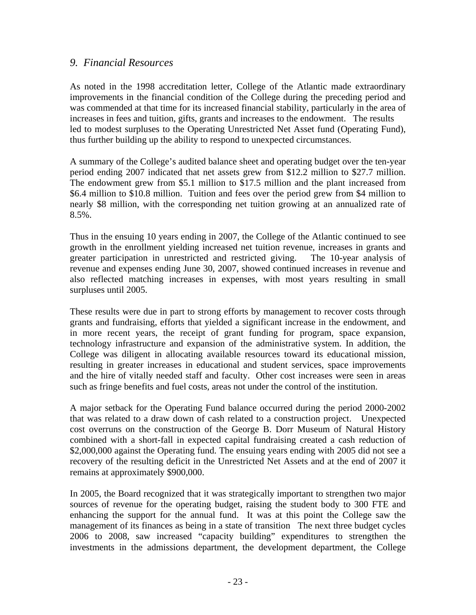### *9. Financial Resources*

As noted in the 1998 accreditation letter, College of the Atlantic made extraordinary improvements in the financial condition of the College during the preceding period and was commended at that time for its increased financial stability, particularly in the area of increases in fees and tuition, gifts, grants and increases to the endowment. The results led to modest surpluses to the Operating Unrestricted Net Asset fund (Operating Fund), thus further building up the ability to respond to unexpected circumstances.

A summary of the College's audited balance sheet and operating budget over the ten-year period ending 2007 indicated that net assets grew from \$12.2 million to \$27.7 million. The endowment grew from \$5.1 million to \$17.5 million and the plant increased from \$6.4 million to \$10.8 million. Tuition and fees over the period grew from \$4 million to nearly \$8 million, with the corresponding net tuition growing at an annualized rate of  $8.5\%$ .

Thus in the ensuing 10 years ending in 2007, the College of the Atlantic continued to see growth in the enrollment yielding increased net tuition revenue, increases in grants and greater participation in unrestricted and restricted giving. The 10-year analysis of revenue and expenses ending June 30, 2007, showed continued increases in revenue and also reflected matching increases in expenses, with most years resulting in small surpluses until 2005.

These results were due in part to strong efforts by management to recover costs through grants and fundraising, efforts that yielded a significant increase in the endowment, and in more recent years, the receipt of grant funding for program, space expansion, technology infrastructure and expansion of the administrative system. In addition, the College was diligent in allocating available resources toward its educational mission, resulting in greater increases in educational and student services, space improvements and the hire of vitally needed staff and faculty. Other cost increases were seen in areas such as fringe benefits and fuel costs, areas not under the control of the institution.

A major setback for the Operating Fund balance occurred during the period 2000-2002 that was related to a draw down of cash related to a construction project. Unexpected cost overruns on the construction of the George B. Dorr Museum of Natural History combined with a short-fall in expected capital fundraising created a cash reduction of \$2,000,000 against the Operating fund. The ensuing years ending with 2005 did not see a recovery of the resulting deficit in the Unrestricted Net Assets and at the end of 2007 it remains at approximately \$900,000.

In 2005, the Board recognized that it was strategically important to strengthen two major sources of revenue for the operating budget, raising the student body to 300 FTE and enhancing the support for the annual fund. It was at this point the College saw the management of its finances as being in a state of transition The next three budget cycles 2006 to 2008, saw increased "capacity building" expenditures to strengthen the investments in the admissions department, the development department, the College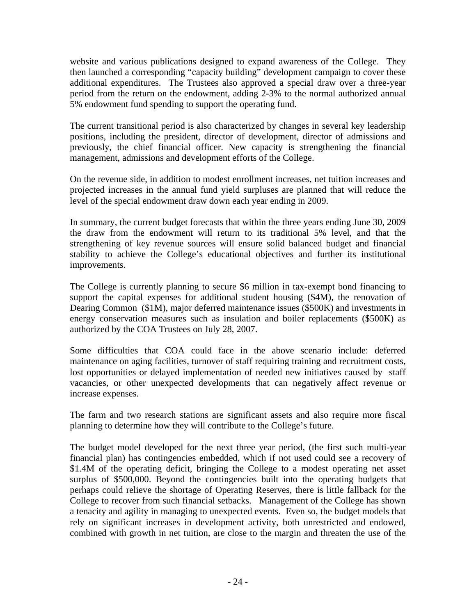website and various publications designed to expand awareness of the College. They then launched a corresponding "capacity building" development campaign to cover these additional expenditures. The Trustees also approved a special draw over a three-year period from the return on the endowment, adding 2-3% to the normal authorized annual 5% endowment fund spending to support the operating fund.

The current transitional period is also characterized by changes in several key leadership positions, including the president, director of development, director of admissions and previously, the chief financial officer. New capacity is strengthening the financial management, admissions and development efforts of the College.

On the revenue side, in addition to modest enrollment increases, net tuition increases and projected increases in the annual fund yield surpluses are planned that will reduce the level of the special endowment draw down each year ending in 2009.

In summary, the current budget forecasts that within the three years ending June 30, 2009 the draw from the endowment will return to its traditional 5% level, and that the strengthening of key revenue sources will ensure solid balanced budget and financial stability to achieve the College's educational objectives and further its institutional improvements.

The College is currently planning to secure \$6 million in tax-exempt bond financing to support the capital expenses for additional student housing (\$4M), the renovation of Dearing Common (\$1M), major deferred maintenance issues (\$500K) and investments in energy conservation measures such as insulation and boiler replacements (\$500K) as authorized by the COA Trustees on July 28, 2007.

Some difficulties that COA could face in the above scenario include: deferred maintenance on aging facilities, turnover of staff requiring training and recruitment costs, lost opportunities or delayed implementation of needed new initiatives caused by staff vacancies, or other unexpected developments that can negatively affect revenue or increase expenses.

The farm and two research stations are significant assets and also require more fiscal planning to determine how they will contribute to the College's future.

The budget model developed for the next three year period, (the first such multi-year financial plan) has contingencies embedded, which if not used could see a recovery of \$1.4M of the operating deficit, bringing the College to a modest operating net asset surplus of \$500,000. Beyond the contingencies built into the operating budgets that perhaps could relieve the shortage of Operating Reserves, there is little fallback for the College to recover from such financial setbacks. Management of the College has shown a tenacity and agility in managing to unexpected events. Even so, the budget models that rely on significant increases in development activity, both unrestricted and endowed, combined with growth in net tuition, are close to the margin and threaten the use of the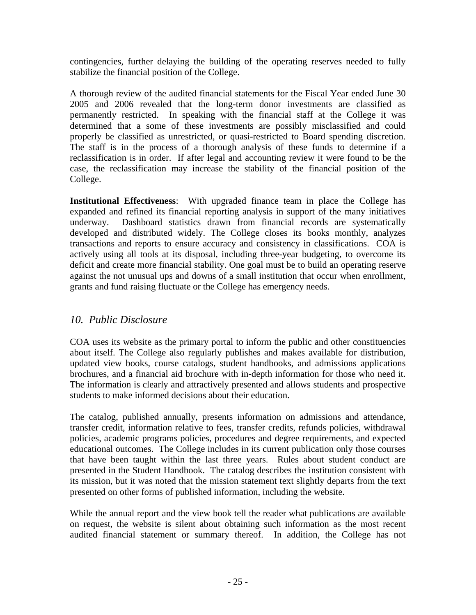contingencies, further delaying the building of the operating reserves needed to fully stabilize the financial position of the College.

A thorough review of the audited financial statements for the Fiscal Year ended June 30 2005 and 2006 revealed that the long-term donor investments are classified as permanently restricted. In speaking with the financial staff at the College it was determined that a some of these investments are possibly misclassified and could properly be classified as unrestricted, or quasi-restricted to Board spending discretion. The staff is in the process of a thorough analysis of these funds to determine if a reclassification is in order. If after legal and accounting review it were found to be the case, the reclassification may increase the stability of the financial position of the College.

**Institutional Effectiveness**: With upgraded finance team in place the College has expanded and refined its financial reporting analysis in support of the many initiatives underway. Dashboard statistics drawn from financial records are systematically developed and distributed widely. The College closes its books monthly, analyzes transactions and reports to ensure accuracy and consistency in classifications. COA is actively using all tools at its disposal, including three-year budgeting, to overcome its deficit and create more financial stability. One goal must be to build an operating reserve against the not unusual ups and downs of a small institution that occur when enrollment, grants and fund raising fluctuate or the College has emergency needs.

# *10. Public Disclosure*

COA uses its website as the primary portal to inform the public and other constituencies about itself. The College also regularly publishes and makes available for distribution, updated view books, course catalogs, student handbooks, and admissions applications brochures, and a financial aid brochure with in-depth information for those who need it. The information is clearly and attractively presented and allows students and prospective students to make informed decisions about their education.

The catalog, published annually, presents information on admissions and attendance, transfer credit, information relative to fees, transfer credits, refunds policies, withdrawal policies, academic programs policies, procedures and degree requirements, and expected educational outcomes. The College includes in its current publication only those courses that have been taught within the last three years. Rules about student conduct are presented in the Student Handbook. The catalog describes the institution consistent with its mission, but it was noted that the mission statement text slightly departs from the text presented on other forms of published information, including the website.

While the annual report and the view book tell the reader what publications are available on request, the website is silent about obtaining such information as the most recent audited financial statement or summary thereof. In addition, the College has not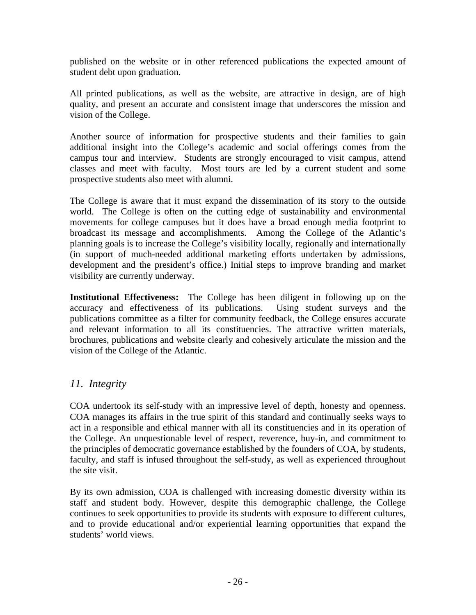published on the website or in other referenced publications the expected amount of student debt upon graduation.

All printed publications, as well as the website, are attractive in design, are of high quality, and present an accurate and consistent image that underscores the mission and vision of the College.

Another source of information for prospective students and their families to gain additional insight into the College's academic and social offerings comes from the campus tour and interview. Students are strongly encouraged to visit campus, attend classes and meet with faculty. Most tours are led by a current student and some prospective students also meet with alumni.

The College is aware that it must expand the dissemination of its story to the outside world. The College is often on the cutting edge of sustainability and environmental movements for college campuses but it does have a broad enough media footprint to broadcast its message and accomplishments. Among the College of the Atlantic's planning goals is to increase the College's visibility locally, regionally and internationally (in support of much-needed additional marketing efforts undertaken by admissions, development and the president's office.) Initial steps to improve branding and market visibility are currently underway.

**Institutional Effectiveness:** The College has been diligent in following up on the accuracy and effectiveness of its publications. Using student surveys and the publications committee as a filter for community feedback, the College ensures accurate and relevant information to all its constituencies. The attractive written materials, brochures, publications and website clearly and cohesively articulate the mission and the vision of the College of the Atlantic.

# *11. Integrity*

COA undertook its self-study with an impressive level of depth, honesty and openness. COA manages its affairs in the true spirit of this standard and continually seeks ways to act in a responsible and ethical manner with all its constituencies and in its operation of the College. An unquestionable level of respect, reverence, buy-in, and commitment to the principles of democratic governance established by the founders of COA, by students, faculty, and staff is infused throughout the self-study, as well as experienced throughout the site visit.

By its own admission, COA is challenged with increasing domestic diversity within its staff and student body. However, despite this demographic challenge, the College continues to seek opportunities to provide its students with exposure to different cultures, and to provide educational and/or experiential learning opportunities that expand the students' world views.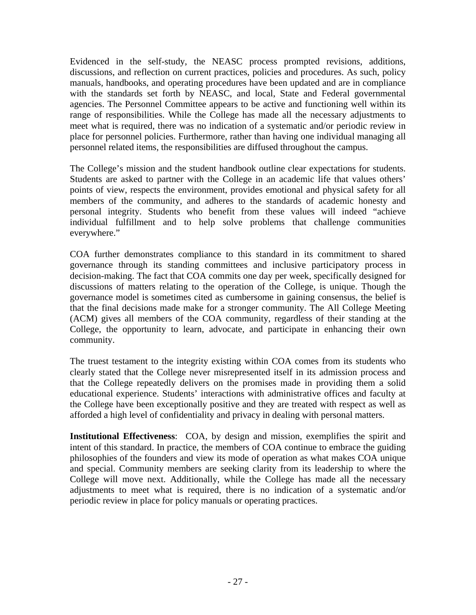Evidenced in the self-study, the NEASC process prompted revisions, additions, discussions, and reflection on current practices, policies and procedures. As such, policy manuals, handbooks, and operating procedures have been updated and are in compliance with the standards set forth by NEASC, and local, State and Federal governmental agencies. The Personnel Committee appears to be active and functioning well within its range of responsibilities. While the College has made all the necessary adjustments to meet what is required, there was no indication of a systematic and/or periodic review in place for personnel policies. Furthermore, rather than having one individual managing all personnel related items, the responsibilities are diffused throughout the campus.

The College's mission and the student handbook outline clear expectations for students. Students are asked to partner with the College in an academic life that values others' points of view, respects the environment, provides emotional and physical safety for all members of the community, and adheres to the standards of academic honesty and personal integrity. Students who benefit from these values will indeed "achieve individual fulfillment and to help solve problems that challenge communities everywhere."

COA further demonstrates compliance to this standard in its commitment to shared governance through its standing committees and inclusive participatory process in decision-making. The fact that COA commits one day per week, specifically designed for discussions of matters relating to the operation of the College, is unique. Though the governance model is sometimes cited as cumbersome in gaining consensus, the belief is that the final decisions made make for a stronger community. The All College Meeting (ACM) gives all members of the COA community, regardless of their standing at the College, the opportunity to learn, advocate, and participate in enhancing their own community.

The truest testament to the integrity existing within COA comes from its students who clearly stated that the College never misrepresented itself in its admission process and that the College repeatedly delivers on the promises made in providing them a solid educational experience. Students' interactions with administrative offices and faculty at the College have been exceptionally positive and they are treated with respect as well as afforded a high level of confidentiality and privacy in dealing with personal matters.

**Institutional Effectiveness**: COA, by design and mission, exemplifies the spirit and intent of this standard. In practice, the members of COA continue to embrace the guiding philosophies of the founders and view its mode of operation as what makes COA unique and special. Community members are seeking clarity from its leadership to where the College will move next. Additionally, while the College has made all the necessary adjustments to meet what is required, there is no indication of a systematic and/or periodic review in place for policy manuals or operating practices.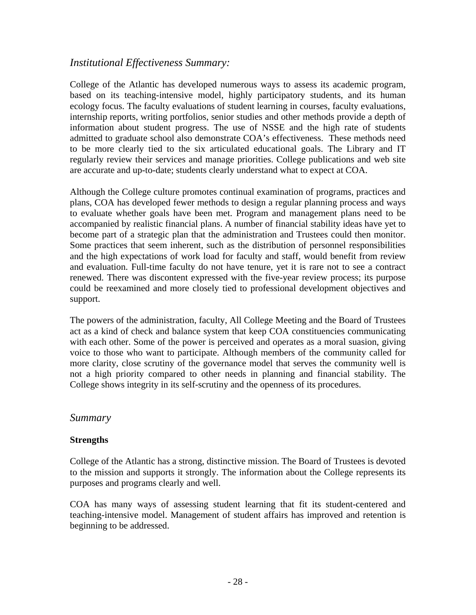# *Institutional Effectiveness Summary:*

College of the Atlantic has developed numerous ways to assess its academic program, based on its teaching-intensive model, highly participatory students, and its human ecology focus. The faculty evaluations of student learning in courses, faculty evaluations, internship reports, writing portfolios, senior studies and other methods provide a depth of information about student progress. The use of NSSE and the high rate of students admitted to graduate school also demonstrate COA's effectiveness. These methods need to be more clearly tied to the six articulated educational goals. The Library and IT regularly review their services and manage priorities. College publications and web site are accurate and up-to-date; students clearly understand what to expect at COA.

Although the College culture promotes continual examination of programs, practices and plans, COA has developed fewer methods to design a regular planning process and ways to evaluate whether goals have been met. Program and management plans need to be accompanied by realistic financial plans. A number of financial stability ideas have yet to become part of a strategic plan that the administration and Trustees could then monitor. Some practices that seem inherent, such as the distribution of personnel responsibilities and the high expectations of work load for faculty and staff, would benefit from review and evaluation. Full-time faculty do not have tenure, yet it is rare not to see a contract renewed. There was discontent expressed with the five-year review process; its purpose could be reexamined and more closely tied to professional development objectives and support.

The powers of the administration, faculty, All College Meeting and the Board of Trustees act as a kind of check and balance system that keep COA constituencies communicating with each other. Some of the power is perceived and operates as a moral suasion, giving voice to those who want to participate. Although members of the community called for more clarity, close scrutiny of the governance model that serves the community well is not a high priority compared to other needs in planning and financial stability. The College shows integrity in its self-scrutiny and the openness of its procedures.

# *Summary*

### **Strengths**

College of the Atlantic has a strong, distinctive mission. The Board of Trustees is devoted to the mission and supports it strongly. The information about the College represents its purposes and programs clearly and well.

COA has many ways of assessing student learning that fit its student-centered and teaching-intensive model. Management of student affairs has improved and retention is beginning to be addressed.